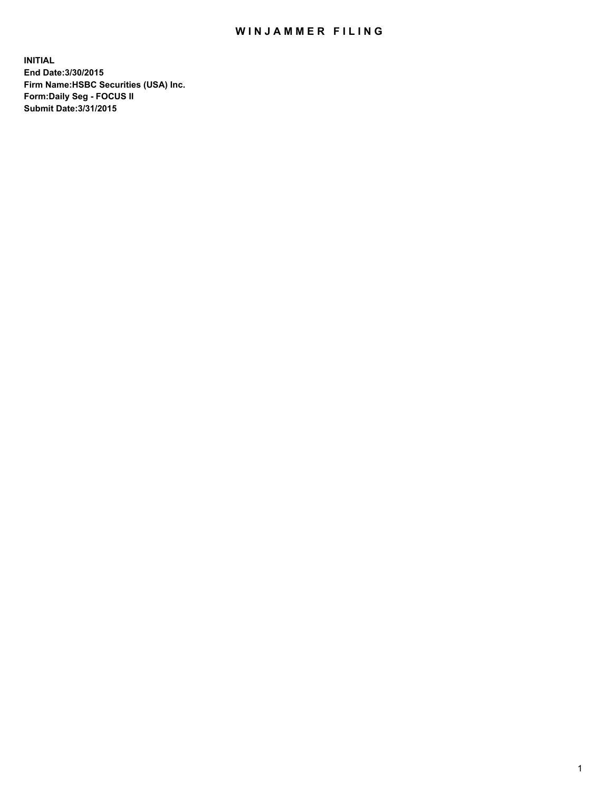## WIN JAMMER FILING

**INITIAL End Date:3/30/2015 Firm Name:HSBC Securities (USA) Inc. Form:Daily Seg - FOCUS II Submit Date:3/31/2015**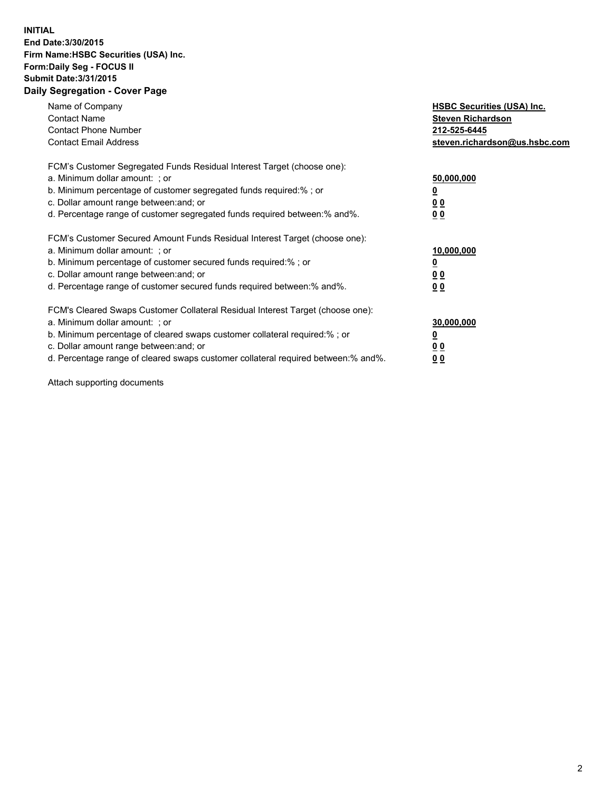## **INITIAL End Date:3/30/2015 Firm Name:HSBC Securities (USA) Inc. Form:Daily Seg - FOCUS II Submit Date:3/31/2015 Daily Segregation - Cover Page**

| Name of Company<br><b>Contact Name</b><br><b>Contact Phone Number</b><br><b>Contact Email Address</b>                                                                                                                                                                                                                          | <b>HSBC Securities (USA) Inc.</b><br><b>Steven Richardson</b><br>212-525-6445<br>steven.richardson@us.hsbc.com |
|--------------------------------------------------------------------------------------------------------------------------------------------------------------------------------------------------------------------------------------------------------------------------------------------------------------------------------|----------------------------------------------------------------------------------------------------------------|
| FCM's Customer Segregated Funds Residual Interest Target (choose one):<br>a. Minimum dollar amount: ; or<br>b. Minimum percentage of customer segregated funds required:% ; or<br>c. Dollar amount range between: and; or<br>d. Percentage range of customer segregated funds required between:% and%.                         | 50,000,000<br>0 <sub>0</sub><br>0 <sub>0</sub>                                                                 |
| FCM's Customer Secured Amount Funds Residual Interest Target (choose one):<br>a. Minimum dollar amount: ; or<br>b. Minimum percentage of customer secured funds required:%; or<br>c. Dollar amount range between: and; or<br>d. Percentage range of customer secured funds required between: % and %.                          | 10,000,000<br><u>0</u><br>0 <sub>0</sub><br>0 <sub>0</sub>                                                     |
| FCM's Cleared Swaps Customer Collateral Residual Interest Target (choose one):<br>a. Minimum dollar amount: ; or<br>b. Minimum percentage of cleared swaps customer collateral required:% ; or<br>c. Dollar amount range between: and; or<br>d. Percentage range of cleared swaps customer collateral required between:% and%. | 30,000,000<br>0 <sub>0</sub><br>0 <sub>0</sub>                                                                 |

Attach supporting documents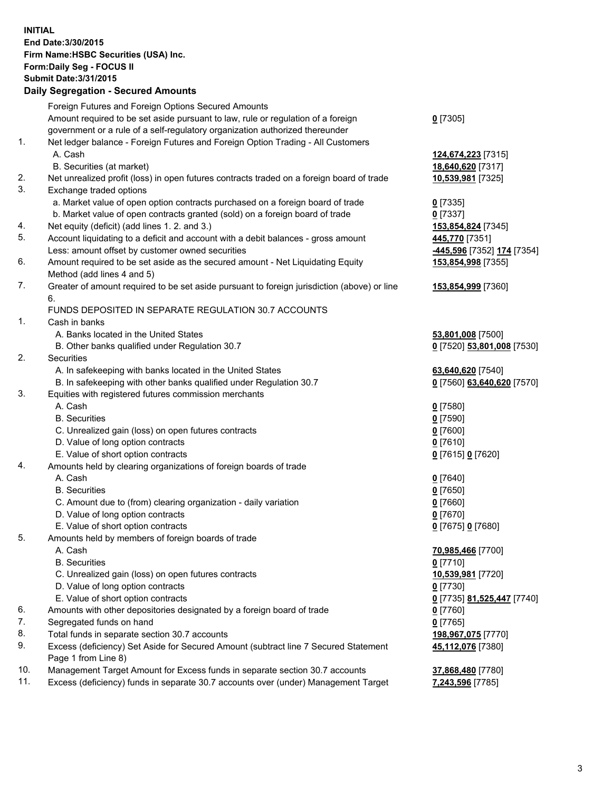**INITIAL End Date:3/30/2015 Firm Name:HSBC Securities (USA) Inc. Form:Daily Seg - FOCUS II Submit Date:3/31/2015 Daily Segregation - Secured Amounts**

|     | Foreign Futures and Foreign Options Secured Amounts                                         |                                                  |
|-----|---------------------------------------------------------------------------------------------|--------------------------------------------------|
|     | Amount required to be set aside pursuant to law, rule or regulation of a foreign            | $0$ [7305]                                       |
|     | government or a rule of a self-regulatory organization authorized thereunder                |                                                  |
| 1.  | Net ledger balance - Foreign Futures and Foreign Option Trading - All Customers             |                                                  |
|     | A. Cash                                                                                     | 124,674,223 [7315]                               |
|     | B. Securities (at market)                                                                   | 18,640,620 [7317]                                |
| 2.  | Net unrealized profit (loss) in open futures contracts traded on a foreign board of trade   | 10,539,981 [7325]                                |
| 3.  | Exchange traded options                                                                     |                                                  |
|     | a. Market value of open option contracts purchased on a foreign board of trade              | $0$ [7335]                                       |
|     | b. Market value of open contracts granted (sold) on a foreign board of trade                | $0$ [7337]                                       |
| 4.  | Net equity (deficit) (add lines 1.2. and 3.)                                                | 153,854,824 [7345]                               |
| 5.  | Account liquidating to a deficit and account with a debit balances - gross amount           | 445,770 [7351]                                   |
|     | Less: amount offset by customer owned securities                                            | -445,596 [7352] 174 [7354]                       |
| 6.  | Amount required to be set aside as the secured amount - Net Liquidating Equity              | 153,854,998 [7355]                               |
|     | Method (add lines 4 and 5)                                                                  |                                                  |
| 7.  | Greater of amount required to be set aside pursuant to foreign jurisdiction (above) or line | 153,854,999 [7360]                               |
|     | 6.                                                                                          |                                                  |
|     | FUNDS DEPOSITED IN SEPARATE REGULATION 30.7 ACCOUNTS                                        |                                                  |
| 1.  | Cash in banks                                                                               |                                                  |
|     | A. Banks located in the United States                                                       | 53,801,008 [7500]                                |
|     | B. Other banks qualified under Regulation 30.7                                              | 0 [7520] 53,801,008 [7530]                       |
| 2.  | Securities                                                                                  |                                                  |
|     | A. In safekeeping with banks located in the United States                                   | 63,640,620 [7540]                                |
|     | B. In safekeeping with other banks qualified under Regulation 30.7                          | 0 [7560] 63,640,620 [7570]                       |
| 3.  | Equities with registered futures commission merchants                                       |                                                  |
|     | A. Cash                                                                                     | $0$ [7580]                                       |
|     | <b>B.</b> Securities                                                                        | $0$ [7590]                                       |
|     | C. Unrealized gain (loss) on open futures contracts                                         | $0$ [7600]                                       |
|     | D. Value of long option contracts                                                           | $0$ [7610]                                       |
|     | E. Value of short option contracts                                                          | 0 [7615] 0 [7620]                                |
| 4.  | Amounts held by clearing organizations of foreign boards of trade                           |                                                  |
|     | A. Cash                                                                                     | $0$ [7640]                                       |
|     | <b>B.</b> Securities                                                                        | $0$ [7650]                                       |
|     | C. Amount due to (from) clearing organization - daily variation                             | $0$ [7660]                                       |
|     | D. Value of long option contracts                                                           | $0$ [7670]                                       |
|     | E. Value of short option contracts                                                          | 0 [7675] 0 [7680]                                |
| 5.  | Amounts held by members of foreign boards of trade                                          |                                                  |
|     | A. Cash                                                                                     | 70,985,466 [7700]                                |
|     | <b>B.</b> Securities                                                                        | $0$ [7710]                                       |
|     | C. Unrealized gain (loss) on open futures contracts                                         | 10,539,981 [7720]                                |
|     | D. Value of long option contracts                                                           | $0$ [7730]                                       |
|     | E. Value of short option contracts                                                          | 0 <sup>[7735]</sup> 81,525,447 <sup>[7740]</sup> |
| 6.  | Amounts with other depositories designated by a foreign board of trade                      | $0$ [7760]                                       |
| 7.  | Segregated funds on hand                                                                    | $0$ [7765]                                       |
| 8.  | Total funds in separate section 30.7 accounts                                               | 198,967,075 [7770]                               |
| 9.  | Excess (deficiency) Set Aside for Secured Amount (subtract line 7 Secured Statement         | 45,112,076 [7380]                                |
|     | Page 1 from Line 8)                                                                         |                                                  |
| 10. | Management Target Amount for Excess funds in separate section 30.7 accounts                 | 37,868,480 [7780]                                |
| 11. | Excess (deficiency) funds in separate 30.7 accounts over (under) Management Target          | 7,243,596 [7785]                                 |
|     |                                                                                             |                                                  |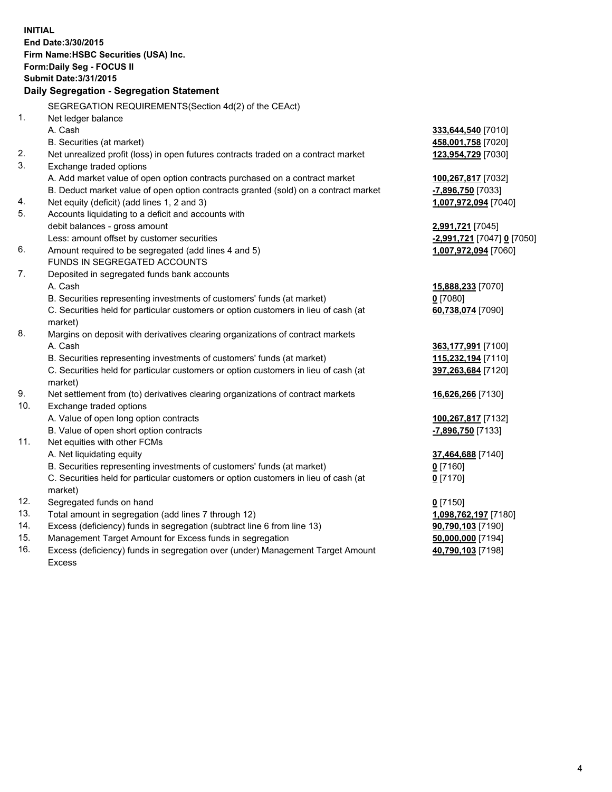| <b>INITIAL</b> | End Date: 3/30/2015<br>Firm Name: HSBC Securities (USA) Inc.<br>Form: Daily Seg - FOCUS II<br><b>Submit Date: 3/31/2015</b><br>Daily Segregation - Segregation Statement |                            |
|----------------|--------------------------------------------------------------------------------------------------------------------------------------------------------------------------|----------------------------|
|                | SEGREGATION REQUIREMENTS(Section 4d(2) of the CEAct)                                                                                                                     |                            |
| 1.             | Net ledger balance                                                                                                                                                       |                            |
|                | A. Cash                                                                                                                                                                  | 333,644,540 [7010]         |
|                | B. Securities (at market)                                                                                                                                                | 458,001,758 [7020]         |
| 2.             | Net unrealized profit (loss) in open futures contracts traded on a contract market                                                                                       | 123,954,729 [7030]         |
| 3.             | Exchange traded options                                                                                                                                                  |                            |
|                | A. Add market value of open option contracts purchased on a contract market                                                                                              | 100,267,817 [7032]         |
|                | B. Deduct market value of open option contracts granted (sold) on a contract market                                                                                      | -7,896,750 [7033]          |
| 4.             | Net equity (deficit) (add lines 1, 2 and 3)                                                                                                                              | 1,007,972,094 [7040]       |
| 5.             | Accounts liquidating to a deficit and accounts with                                                                                                                      |                            |
|                | debit balances - gross amount                                                                                                                                            | 2,991,721 [7045]           |
|                | Less: amount offset by customer securities                                                                                                                               | -2,991,721 [7047] 0 [7050] |
| 6.             | Amount required to be segregated (add lines 4 and 5)                                                                                                                     | 1,007,972,094 [7060]       |
|                | FUNDS IN SEGREGATED ACCOUNTS                                                                                                                                             |                            |
| 7.             | Deposited in segregated funds bank accounts                                                                                                                              |                            |
|                | A. Cash                                                                                                                                                                  | 15,888,233 [7070]          |
|                | B. Securities representing investments of customers' funds (at market)                                                                                                   | $0$ [7080]                 |
|                | C. Securities held for particular customers or option customers in lieu of cash (at<br>market)                                                                           | 60,738,074 [7090]          |
| 8.             | Margins on deposit with derivatives clearing organizations of contract markets                                                                                           |                            |
|                | A. Cash                                                                                                                                                                  | 363,177,991 [7100]         |
|                | B. Securities representing investments of customers' funds (at market)                                                                                                   | 115,232,194 [7110]         |
|                | C. Securities held for particular customers or option customers in lieu of cash (at                                                                                      | 397,263,684 [7120]         |
|                | market)                                                                                                                                                                  |                            |
| 9.             | Net settlement from (to) derivatives clearing organizations of contract markets                                                                                          | 16,626,266 [7130]          |
| 10.            | Exchange traded options                                                                                                                                                  |                            |
|                | A. Value of open long option contracts                                                                                                                                   | 100,267,817 [7132]         |
|                | B. Value of open short option contracts                                                                                                                                  | -7,896,750 [7133]          |
| 11.            | Net equities with other FCMs                                                                                                                                             |                            |
|                | A. Net liquidating equity                                                                                                                                                | 37,464,688 [7140]          |
|                | B. Securities representing investments of customers' funds (at market)                                                                                                   | $0$ [7160]                 |
|                | C. Securities held for particular customers or option customers in lieu of cash (at                                                                                      | $0$ [7170]                 |
|                | market)                                                                                                                                                                  |                            |
| 12.            | Segregated funds on hand                                                                                                                                                 | $0$ [7150]                 |
| 13.            | Total amount in segregation (add lines 7 through 12)                                                                                                                     | 1,098,762,197 [7180]       |
| 14.            | Excess (deficiency) funds in segregation (subtract line 6 from line 13)                                                                                                  | 90,790,103 [7190]          |
| 15.            | Management Target Amount for Excess funds in segregation                                                                                                                 | 50,000,000 [7194]          |
| 16.            | Excess (deficiency) funds in segregation over (under) Management Target Amount                                                                                           | 40,790,103 [7198]          |
|                | <b>Excess</b>                                                                                                                                                            |                            |